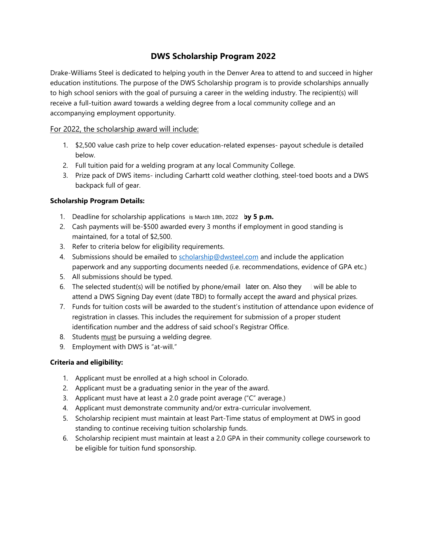## **DWS Scholarship Program 2022**

Drake-Williams Steel is dedicated to helping youth in the Denver Area to attend to and succeed in higher education institutions. The purpose of the DWS Scholarship program is to provide scholarships annually to high school seniors with the goal of pursuing a career in the welding industry. The recipient(s) will receive a full-tuition award towards a welding degree from a local community college and an accompanying employment opportunity.

### For 2022, the scholarship award will include:

- 1. \$2,500 value cash prize to help cover education-related expenses- payout schedule is detailed below.
- 2. Full tuition paid for a welding program at any local Community College.
- 3. Prize pack of DWS items- including Carhartt cold weather clothing, steel-toed boots and a DWS backpack full of gear.

### **Scholarship Program Details:**

- 1. Deadline for scholarship applications is March 18th, 2022 by 5 p.m.
- 2. Cash payments will be-\$500 awarded every 3 months if employment in good standing is maintained, for a total of \$2,500.
- 3. Refer to criteria below for eligibility requirements.
- 4. Submissions should be emailed to [scholarship@dwsteel.com](mailto:scholarship@dwsteel.com) and include the application paperwork and any supporting documents needed (i.e. recommendations, evidence of GPA etc.)
- 5. All submissions should be typed.
- 6. The selected student(s) will be notified by phone/email later on. Also they will be able to attend a DWS Signing Day event (date TBD) to formally accept the award and physical prizes.
- 7. Funds for tuition costs will be awarded to the student's institution of attendance upon evidence of registration in classes. This includes the requirement for submission of a proper student identification number and the address of said school's Registrar Office.
- 8. Students must be pursuing a welding degree.
- 9. Employment with DWS is "at-will."

#### **Criteria and eligibility:**

- 1. Applicant must be enrolled at a high school in Colorado.
- 2. Applicant must be a graduating senior in the year of the award.
- 3. Applicant must have at least a 2.0 grade point average ("C" average.)
- 4. Applicant must demonstrate community and/or extra-curricular involvement.
- 5. Scholarship recipient must maintain at least Part-Time status of employment at DWS in good standing to continue receiving tuition scholarship funds.
- 6. Scholarship recipient must maintain at least a 2.0 GPA in their community college coursework to be eligible for tuition fund sponsorship.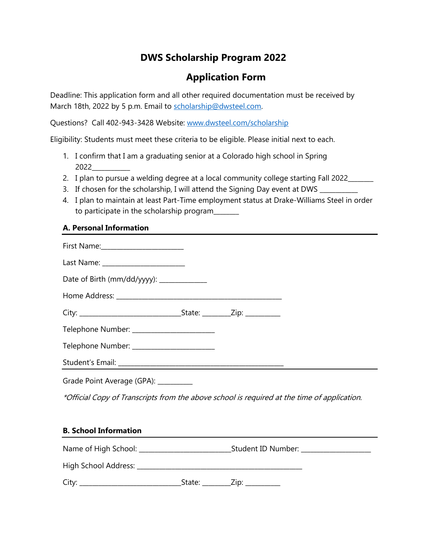## **DWS Scholarship Program 2022**

# **Application Form**

Deadline: This application form and all other required documentation must be received by March 18th, 2022 by 5 p.m. Email to [scholarship@dwsteel.com.](mailto:scholarship@dwsteel.com)

Questions? Call 402-943-3428 Website: [www.dwsteel.com/scholarship](http://www.dwsteel.com/scholarship)

Eligibility: Students must meet these criteria to be eligible. Please initial next to each.

- 1. I confirm that I am a graduating senior at a Colorado high school in Spring 2022\_\_\_\_\_\_\_\_\_\_\_\_
- 2. I plan to pursue a welding degree at a local community college starting Fall 2022\_\_\_\_\_\_
- 3. If chosen for the scholarship, I will attend the Signing Day event at DWS
- 4. I plan to maintain at least Part-Time employment status at Drake-Williams Steel in order to participate in the scholarship program\_\_\_\_\_\_\_\_

## **A. Personal Information**

| First Name:________________________        |  |
|--------------------------------------------|--|
|                                            |  |
| Date of Birth (mm/dd/yyyy): _____________  |  |
|                                            |  |
|                                            |  |
| Telephone Number: ________________________ |  |
| Telephone Number: ________________________ |  |
|                                            |  |
| Grade Point Average (GPA): _________       |  |

\*Official Copy of Transcripts from the above school is required at the time of application.

#### **B. School Information**

|       |        | Student ID Number: Student ID Number: |  |
|-------|--------|---------------------------------------|--|
|       |        |                                       |  |
| City: | State: | $\angle$ Zip: $\angle$                |  |